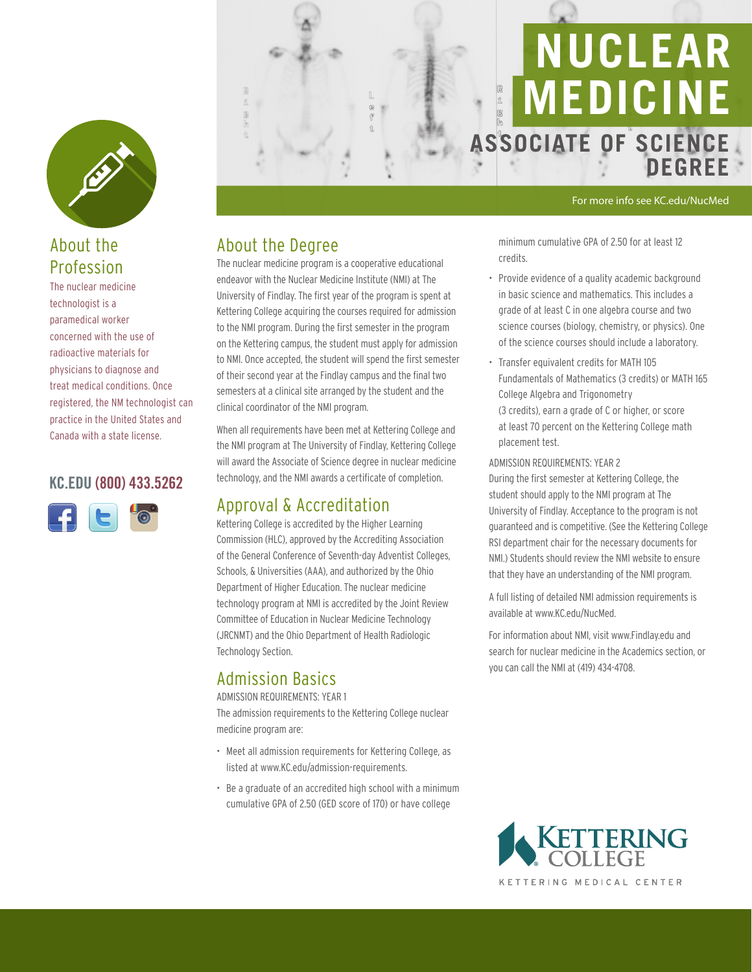

# About the Profession

The nuclear medicine technologist is a paramedical worker concerned with the use of radioactive materials for physicians to diagnose and treat medical conditions. Once registered, the NM technologist can practice in the United States and Canada with a state license.

#### KC.EDU (800) 433.5262





#### For more info see KC.edu/NucMed

**DEGREE**

### About the Degree

The nuclear medicine program is a cooperative educational endeavor with the Nuclear Medicine Institute (NMI) at The University of Findlay. The first year of the program is spent at Kettering College acquiring the courses required for admission to the NMI program. During the first semester in the program on the Kettering campus, the student must apply for admission to NMI. Once accepted, the student will spend the first semester of their second year at the Findlay campus and the final two semesters at a clinical site arranged by the student and the clinical coordinator of the NMI program.

When all requirements have been met at Kettering College and the NMI program at The University of Findlay, Kettering College will award the Associate of Science degree in nuclear medicine technology, and the NMI awards a certificate of completion.

## Approval & Accreditation

Kettering College is accredited by the Higher Learning Commission (HLC), approved by the Accrediting Association of the General Conference of Seventh-day Adventist Colleges, Schools, & Universities (AAA), and authorized by the Ohio Department of Higher Education. The nuclear medicine technology program at NMI is accredited by the Joint Review Committee of Education in Nuclear Medicine Technology (JRCNMT) and the Ohio Department of Health Radiologic Technology Section.

## Admission Basics

#### ADMISSION REQUIREMENTS: YEAR 1

The admission requirements to the Kettering College nuclear medicine program are:

- Meet all admission requirements for Kettering College, as listed at www.KC.edu/admission-requirements.
- Be a graduate of an accredited high school with a minimum cumulative GPA of 2.50 (GED score of 170) or have college

minimum cumulative GPA of 2.50 for at least 12 credits.

- Provide evidence of a quality academic background in basic science and mathematics. This includes a grade of at least C in one algebra course and two science courses (biology, chemistry, or physics). One of the science courses should include a laboratory.
- Transfer equivalent credits for MATH 105 Fundamentals of Mathematics (3 credits) or MATH 165 College Algebra and Trigonometry (3 credits), earn a grade of C or higher, or score at least 70 percent on the Kettering College math placement test.

ADMISSION REQUIREMENTS: YEAR 2

During the first semester at Kettering College, the student should apply to the NMI program at The University of Findlay. Acceptance to the program is not guaranteed and is competitive. (See the Kettering College RSI department chair for the necessary documents for NMI.) Students should review the NMI website to ensure that they have an understanding of the NMI program.

A full listing of detailed NMI admission requirements is available at www.KC.edu/NucMed.

For information about NMI, visit www.Findlay.edu and search for nuclear medicine in the Academics section, or you can call the NMI at (419) 434-4708.